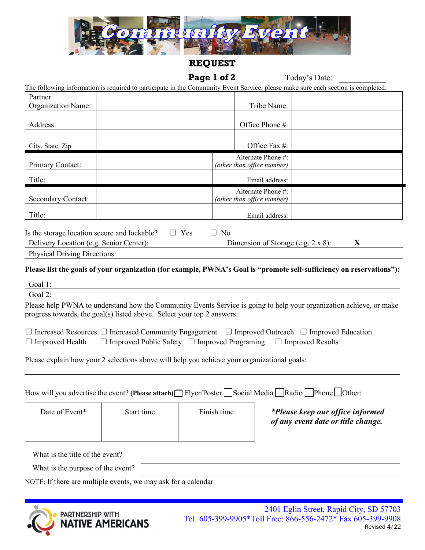

## **REQUEST**

# Page 1 of 2 Today's Date:

| The following information is required to participate in the Community Event Service, please make sure each section is completed: |  |  |  |  |  |  |  |  |  |  |  |  |  |
|----------------------------------------------------------------------------------------------------------------------------------|--|--|--|--|--|--|--|--|--|--|--|--|--|
|                                                                                                                                  |  |  |  |  |  |  |  |  |  |  |  |  |  |

| Partner                                      |                                                  |                                         |  |  |  |  |
|----------------------------------------------|--------------------------------------------------|-----------------------------------------|--|--|--|--|
| <b>Organization Name:</b>                    | Tribe Name:                                      |                                         |  |  |  |  |
| Address:                                     | Office Phone #:                                  |                                         |  |  |  |  |
| City, State, Zip                             | Office Fax #:                                    |                                         |  |  |  |  |
| Primary Contact:                             | Alternate Phone #:<br>(other than office number) |                                         |  |  |  |  |
| Title:                                       | Email address:                                   |                                         |  |  |  |  |
| <b>Secondary Contact:</b>                    | Alternate Phone #:<br>(other than office number) |                                         |  |  |  |  |
| Title:                                       | Email address:                                   |                                         |  |  |  |  |
| Is the storage location secure and lockable? | Yes<br>N <sub>0</sub><br>$\Box$                  |                                         |  |  |  |  |
| Delivery Location (e.g. Senior Center):      |                                                  | X<br>Dimension of Storage (e.g. 2 x 8): |  |  |  |  |

|  | <b>Physical Driving Directions:</b> |  |
|--|-------------------------------------|--|
|  |                                     |  |

## **Please list the goals of your organization (for example, PWNA's Goal is "promote self-sufficiency on reservations"):**

| Goal 1:                                                                                                                                                                                                                           |
|-----------------------------------------------------------------------------------------------------------------------------------------------------------------------------------------------------------------------------------|
| Goal 2:                                                                                                                                                                                                                           |
| Please help PWNA to understand how the Community Events Service is going to help your organization achieve, or make<br>progress towards, the goal(s) listed above. Select your top 2 answers:                                     |
| $\Box$ Increased Resources $\Box$ Increased Community Engagement $\Box$ Improved Outreach $\Box$ Improved Education<br>$\Box$ Improved Public Safety $\Box$ Improved Programing $\Box$ Improved Results<br>$\Box$ Improved Health |
| Please explain how your 2 selections above will help you achieve your organizational goals:                                                                                                                                       |
|                                                                                                                                                                                                                                   |
| How will you advertise the event? (Please attach) $\Box$ Flyer/Poster   Social Media   Radio   Phone $\Box$ Other:                                                                                                                |

| Date of Event*                                                                                                                            | Start time | Finish time | *Please keep our office informed<br>of any event date or title change. |  |  |  |
|-------------------------------------------------------------------------------------------------------------------------------------------|------------|-------------|------------------------------------------------------------------------|--|--|--|
|                                                                                                                                           |            |             |                                                                        |  |  |  |
| $\mathbf{W}^{\mathsf{H}}$ of $\mathbf{H}$ of $\mathbf{H}$ of $\mathbf{H}$ of $\mathbf{H}$ of $\mathbf{H}$ of $\mathbf{H}$ of $\mathbf{H}$ |            |             |                                                                        |  |  |  |

What is the title of the event?

What is the purpose of the event?

NOTE: If there are multiple events, we may ask for a calendar